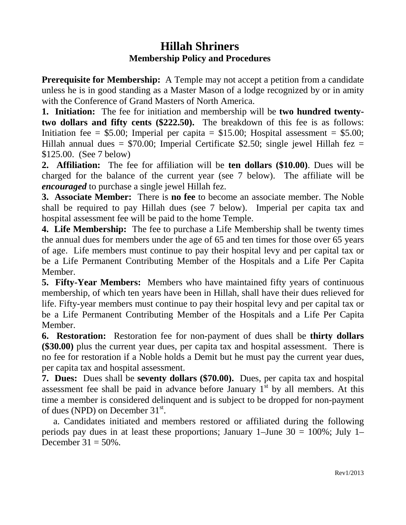## **Hillah Shriners Membership Policy and Procedures**

**Prerequisite for Membership:** A Temple may not accept a petition from a candidate unless he is in good standing as a Master Mason of a lodge recognized by or in amity with the Conference of Grand Masters of North America.

**1. Initiation:** The fee for initiation and membership will be **two hundred twentytwo dollars and fifty cents (\$222.50).** The breakdown of this fee is as follows: Initiation fee =  $$5.00$ ; Imperial per capita =  $$15.00$ ; Hospital assessment =  $$5.00$ ; Hillah annual dues =  $$70.00$ ; Imperial Certificate \$2.50; single jewel Hillah fez = \$125.00.(See 7 below)

**2. Affiliation:** The fee for affiliation will be **ten dollars (\$10.00)**. Dues will be charged for the balance of the current year (see 7 below). The affiliate will be *encouraged* to purchase a single jewel Hillah fez.

**3. Associate Member:** There is **no fee** to become an associate member. The Noble shall be required to pay Hillah dues (see 7 below). Imperial per capita tax and hospital assessment fee will be paid to the home Temple.

**4. Life Membership:** The fee to purchase a Life Membership shall be twenty times the annual dues for members under the age of 65 and ten times for those over 65 years of age. Life members must continue to pay their hospital levy and per capital tax or be a Life Permanent Contributing Member of the Hospitals and a Life Per Capita Member.

**5. Fifty-Year Members:** Members who have maintained fifty years of continuous membership, of which ten years have been in Hillah, shall have their dues relieved for life. Fifty-year members must continue to pay their hospital levy and per capital tax or be a Life Permanent Contributing Member of the Hospitals and a Life Per Capita Member.

**6. Restoration:** Restoration fee for non-payment of dues shall be **thirty dollars (\$30.00)** plus the current year dues, per capita tax and hospital assessment. There is no fee for restoration if a Noble holds a Demit but he must pay the current year dues, per capita tax and hospital assessment.

**7. Dues:** Dues shall be **seventy dollars (\$70.00).** Dues, per capita tax and hospital assessment fee shall be paid in advance before January  $1<sup>st</sup>$  by all members. At this time a member is considered delinquent and is subject to be dropped for non-payment of dues (NPD) on December 31<sup>st</sup>.

 a. Candidates initiated and members restored or affiliated during the following periods pay dues in at least these proportions; January 1–June  $30 = 100\%$ ; July 1– December  $31 = 50\%$ .